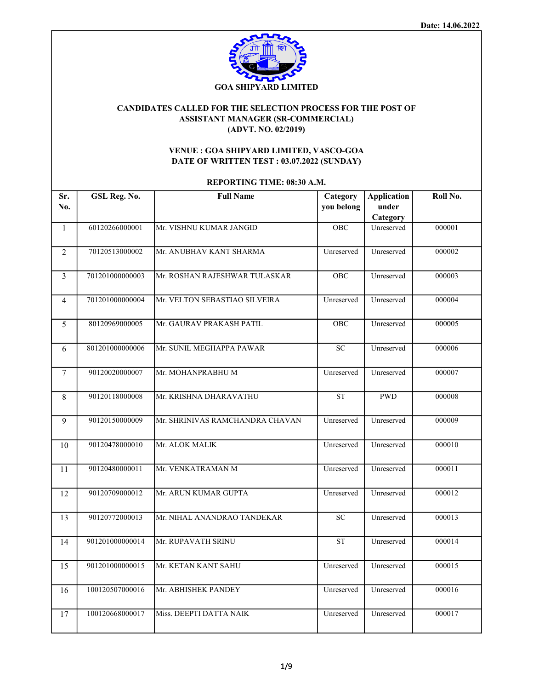

## CANDIDATES CALLED FOR THE SELECTION PROCESS FOR THE POST OF ASSISTANT MANAGER (SR-COMMERCIAL) (ADVT. NO. 02/2019)

## VENUE : GOA SHIPYARD LIMITED, VASCO-GOA DATE OF WRITTEN TEST : 03.07.2022 (SUNDAY)

REPORTING TIME: 08:30 A.M.

| Sr.            | GSL Reg. No.    | <b>Full Name</b>                | Category   | <b>Application</b> | Roll No. |
|----------------|-----------------|---------------------------------|------------|--------------------|----------|
| No.            |                 |                                 | you belong | under<br>Category  |          |
| $\mathbf{1}$   | 60120266000001  | Mr. VISHNU KUMAR JANGID         | <b>OBC</b> | Unreserved         | 000001   |
|                |                 |                                 |            |                    |          |
| 2              | 70120513000002  | Mr. ANUBHAV KANT SHARMA         | Unreserved | Unreserved         | 000002   |
| 3              | 701201000000003 | Mr. ROSHAN RAJESHWAR TULASKAR   | <b>OBC</b> | Unreserved         | 000003   |
| $\overline{4}$ | 701201000000004 | Mr. VELTON SEBASTIAO SILVEIRA   | Unreserved | Unreserved         | 000004   |
| 5              | 80120969000005  | Mr. GAURAV PRAKASH PATIL        | OBC        | Unreserved         | 000005   |
| 6              | 801201000000006 | Mr. SUNIL MEGHAPPA PAWAR        | ${\rm SC}$ | Unreserved         | 000006   |
| $\tau$         | 90120020000007  | Mr. MOHANPRABHU M               | Unreserved | Unreserved         | 000007   |
| 8              | 90120118000008  | Mr. KRISHNA DHARAVATHU          | <b>ST</b>  | <b>PWD</b>         | 000008   |
| 9              | 90120150000009  | Mr. SHRINIVAS RAMCHANDRA CHAVAN | Unreserved | Unreserved         | 000009   |
| 10             | 90120478000010  | Mr. ALOK MALIK                  | Unreserved | Unreserved         | 000010   |
| 11             | 90120480000011  | Mr. VENKATRAMAN M               | Unreserved | Unreserved         | 000011   |
| 12             | 90120709000012  | Mr. ARUN KUMAR GUPTA            | Unreserved | Unreserved         | 000012   |
| 13             | 90120772000013  | Mr. NIHAL ANANDRAO TANDEKAR     | <b>SC</b>  | Unreserved         | 000013   |
| 14             | 901201000000014 | Mr. RUPAVATH SRINU              | <b>ST</b>  | Unreserved         | 000014   |
| 15             | 901201000000015 | Mr. KETAN KANT SAHU             | Unreserved | Unreserved         | 000015   |
| 16             | 100120507000016 | Mr. ABHISHEK PANDEY             | Unreserved | Unreserved         | 000016   |
| 17             | 100120668000017 | Miss. DEEPTI DATTA NAIK         | Unreserved | Unreserved         | 000017   |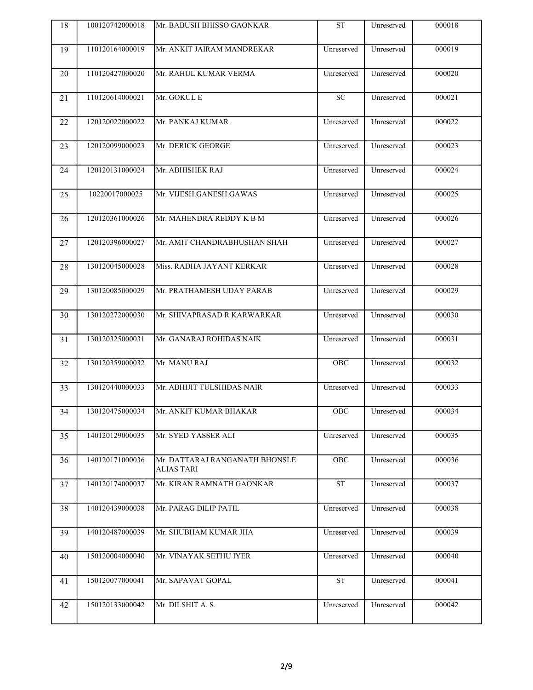| 18 | 100120742000018 | Mr. BABUSH BHISSO GAONKAR                           | <b>ST</b>        | Unreserved | 000018 |
|----|-----------------|-----------------------------------------------------|------------------|------------|--------|
| 19 | 110120164000019 | Mr. ANKIT JAIRAM MANDREKAR                          | Unreserved       | Unreserved | 000019 |
| 20 | 110120427000020 | Mr. RAHUL KUMAR VERMA                               | Unreserved       | Unreserved | 000020 |
| 21 | 110120614000021 | Mr. GOKUL E                                         | $\overline{SC}$  | Unreserved | 000021 |
| 22 | 120120022000022 | Mr. PANKAJ KUMAR                                    | Unreserved       | Unreserved | 000022 |
| 23 | 120120099000023 | Mr. DERICK GEORGE                                   | Unreserved       | Unreserved | 000023 |
| 24 | 120120131000024 | Mr. ABHISHEK RAJ                                    | Unreserved       | Unreserved | 000024 |
| 25 | 10220017000025  | Mr. VIJESH GANESH GAWAS                             | Unreserved       | Unreserved | 000025 |
| 26 | 120120361000026 | Mr. MAHENDRA REDDY K B M                            | Unreserved       | Unreserved | 000026 |
| 27 | 120120396000027 | Mr. AMIT CHANDRABHUSHAN SHAH                        | Unreserved       | Unreserved | 000027 |
| 28 | 130120045000028 | Miss. RADHA JAYANT KERKAR                           | Unreserved       | Unreserved | 000028 |
| 29 | 130120085000029 | Mr. PRATHAMESH UDAY PARAB                           | Unreserved       | Unreserved | 000029 |
| 30 | 130120272000030 | Mr. SHIVAPRASAD R KARWARKAR                         | Unreserved       | Unreserved | 000030 |
| 31 | 130120325000031 | Mr. GANARAJ ROHIDAS NAIK                            | Unreserved       | Unreserved | 000031 |
| 32 | 130120359000032 | Mr. MANU RAJ                                        | OBC              | Unreserved | 000032 |
| 33 | 130120440000033 | Mr. ABHIJIT TULSHIDAS NAIR                          | Unreserved       | Unreserved | 000033 |
| 34 | 130120475000034 | Mr. ANKIT KUMAR BHAKAR                              | $\overline{OBC}$ | Unreserved | 000034 |
| 35 | 140120129000035 | Mr. SYED YASSER ALI                                 | Unreserved       | Unreserved | 000035 |
| 36 | 140120171000036 | Mr. DATTARAJ RANGANATH BHONSLE<br><b>ALIAS TARI</b> | OBC              | Unreserved | 000036 |
| 37 | 140120174000037 | Mr. KIRAN RAMNATH GAONKAR                           | ST               | Unreserved | 000037 |
| 38 | 140120439000038 | Mr. PARAG DILIP PATIL                               | Unreserved       | Unreserved | 000038 |
| 39 | 140120487000039 | Mr. SHUBHAM KUMAR JHA                               | Unreserved       | Unreserved | 000039 |
| 40 | 150120004000040 | Mr. VINAYAK SETHU IYER                              | Unreserved       | Unreserved | 000040 |
| 41 | 150120077000041 | Mr. SAPAVAT GOPAL                                   | <b>ST</b>        | Unreserved | 000041 |
| 42 | 150120133000042 | Mr. DILSHIT A. S.                                   | Unreserved       | Unreserved | 000042 |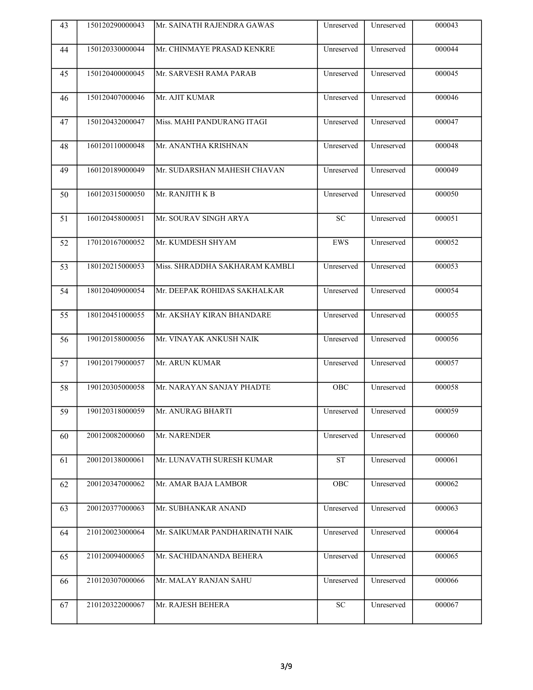| 43 | 150120290000043 | Mr. SAINATH RAJENDRA GAWAS        | Unreserved            | Unreserved | 000043 |
|----|-----------------|-----------------------------------|-----------------------|------------|--------|
| 44 | 150120330000044 | Mr. CHINMAYE PRASAD KENKRE        | Unreserved            | Unreserved | 000044 |
| 45 | 150120400000045 | Mr. SARVESH RAMA PARAB            | Unreserved            | Unreserved | 000045 |
| 46 | 150120407000046 | Mr. AJIT KUMAR                    | Unreserved            | Unreserved | 000046 |
| 47 | 150120432000047 | Miss. MAHI PANDURANG ITAGI        | Unreserved            | Unreserved | 000047 |
| 48 | 160120110000048 | Mr. ANANTHA KRISHNAN              | Unreserved            | Unreserved | 000048 |
| 49 | 160120189000049 | Mr. SUDARSHAN MAHESH CHAVAN       | Unreserved            | Unreserved | 000049 |
| 50 | 160120315000050 | Mr. RANJITH K B                   | Unreserved            | Unreserved | 000050 |
| 51 | 160120458000051 | Mr. SOURAV SINGH ARYA             | ${\rm SC}$            | Unreserved | 000051 |
| 52 | 170120167000052 | Mr. KUMDESH SHYAM                 | EWS                   | Unreserved | 000052 |
| 53 | 180120215000053 | Miss. SHRADDHA SAKHARAM KAMBLI    | Unreserved            | Unreserved | 000053 |
| 54 | 180120409000054 | Mr. DEEPAK ROHIDAS SAKHALKAR      | Unreserved            | Unreserved | 000054 |
| 55 | 180120451000055 | Mr. AKSHAY KIRAN BHANDARE         | Unreserved            | Unreserved | 000055 |
| 56 | 190120158000056 | Mr. VINAYAK ANKUSH NAIK           | Unreserved            | Unreserved | 000056 |
| 57 | 190120179000057 | Mr. ARUN KUMAR                    | Unreserved            | Unreserved | 000057 |
| 58 | 190120305000058 | Mr. NARAYAN SANJAY PHADTE         | OBC                   | Unreserved | 000058 |
| 59 |                 | 190120318000059 Mr. ANURAG BHARTI | Unreserved Unreserved |            | 000059 |
| 60 | 200120082000060 | Mr. NARENDER                      | Unreserved            | Unreserved | 000060 |
| 61 | 200120138000061 | Mr. LUNAVATH SURESH KUMAR         | ${\cal S}{\cal T}$    | Unreserved | 000061 |
| 62 | 200120347000062 | Mr. AMAR BAJA LAMBOR              | OBC                   | Unreserved | 000062 |
| 63 | 200120377000063 | Mr. SUBHANKAR ANAND               | Unreserved            | Unreserved | 000063 |
| 64 | 210120023000064 | Mr. SAIKUMAR PANDHARINATH NAIK    | Unreserved            | Unreserved | 000064 |
| 65 | 210120094000065 | Mr. SACHIDANANDA BEHERA           | Unreserved            | Unreserved | 000065 |
| 66 | 210120307000066 | Mr. MALAY RANJAN SAHU             | Unreserved            | Unreserved | 000066 |
| 67 | 210120322000067 | Mr. RAJESH BEHERA                 | ${\rm SC}$            | Unreserved | 000067 |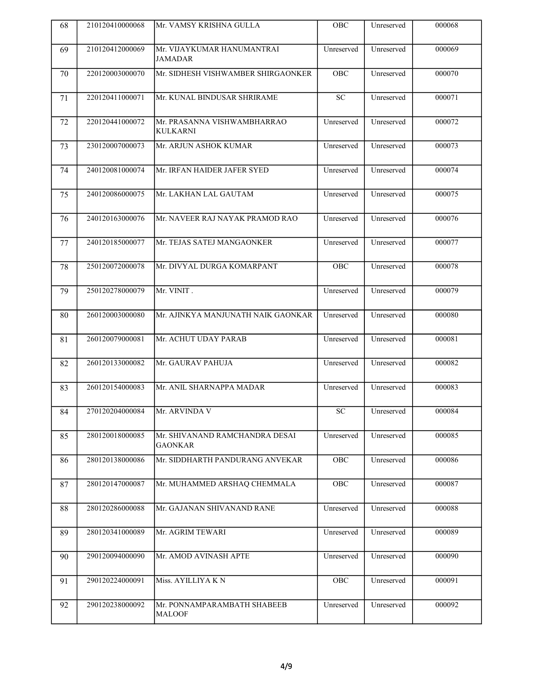| 68 | 210120410000068 | lMr. VAMSY KRISHNA GULLA                         | OBC             | Unreserved | 000068 |
|----|-----------------|--------------------------------------------------|-----------------|------------|--------|
| 69 | 210120412000069 | Mr. VIJAYKUMAR HANUMANTRAI<br>JAMADAR            | Unreserved      | Unreserved | 000069 |
| 70 | 220120003000070 | Mr. SIDHESH VISHWAMBER SHIRGAONKER               | <b>OBC</b>      | Unreserved | 000070 |
| 71 | 220120411000071 | Mr. KUNAL BINDUSAR SHRIRAME                      | $\overline{SC}$ | Unreserved | 000071 |
| 72 | 220120441000072 | Mr. PRASANNA VISHWAMBHARRAO<br><b>KULKARNI</b>   | Unreserved      | Unreserved | 000072 |
| 73 | 230120007000073 | Mr. ARJUN ASHOK KUMAR                            | Unreserved      | Unreserved | 000073 |
| 74 | 240120081000074 | Mr. IRFAN HAIDER JAFER SYED                      | Unreserved      | Unreserved | 000074 |
| 75 | 240120086000075 | Mr. LAKHAN LAL GAUTAM                            | Unreserved      | Unreserved | 000075 |
| 76 | 240120163000076 | Mr. NAVEER RAJ NAYAK PRAMOD RAO                  | Unreserved      | Unreserved | 000076 |
| 77 | 240120185000077 | Mr. TEJAS SATEJ MANGAONKER                       | Unreserved      | Unreserved | 000077 |
| 78 | 250120072000078 | Mr. DIVYAL DURGA KOMARPANT                       | OBC             | Unreserved | 000078 |
| 79 | 250120278000079 | Mr. VINIT.                                       | Unreserved      | Unreserved | 000079 |
| 80 | 260120003000080 | Mr. AJINKYA MANJUNATH NAIK GAONKAR               | Unreserved      | Unreserved | 000080 |
| 81 | 260120079000081 | Mr. ACHUT UDAY PARAB                             | Unreserved      | Unreserved | 000081 |
| 82 | 260120133000082 | Mr. GAURAV PAHUJA                                | Unreserved      | Unreserved | 000082 |
| 83 | 260120154000083 | Mr. ANIL SHARNAPPA MADAR                         | Unreserved      | Unreserved | 000083 |
| 84 | 270120204000084 | Mr. ARVINDA V                                    | $\overline{SC}$ | Unreserved | 000084 |
| 85 | 280120018000085 | Mr. SHIVANAND RAMCHANDRA DESAI<br><b>GAONKAR</b> | Unreserved      | Unreserved | 000085 |
| 86 | 280120138000086 | Mr. SIDDHARTH PANDURANG ANVEKAR                  | OBC             | Unreserved | 000086 |
| 87 | 280120147000087 | Mr. MUHAMMED ARSHAQ CHEMMALA                     | ${\rm OBC}$     | Unreserved | 000087 |
| 88 | 280120286000088 | Mr. GAJANAN SHIVANAND RANE                       | Unreserved      | Unreserved | 000088 |
| 89 | 280120341000089 | Mr. AGRIM TEWARI                                 | Unreserved      | Unreserved | 000089 |
| 90 | 290120094000090 | Mr. AMOD AVINASH APTE                            | Unreserved      | Unreserved | 000090 |
| 91 | 290120224000091 | Miss. AYILLIYA KN                                | OBC             | Unreserved | 000091 |
| 92 | 290120238000092 | Mr. PONNAMPARAMBATH SHABEEB<br><b>MALOOF</b>     | Unreserved      | Unreserved | 000092 |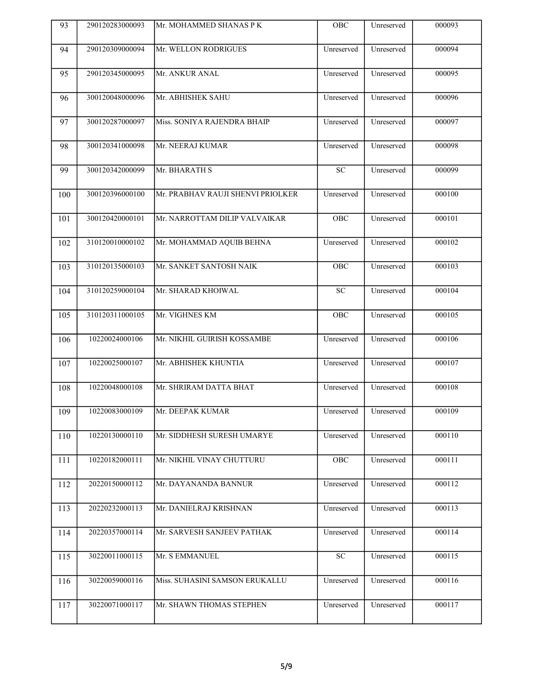| 93  | 290120283000093 | Mr. MOHAMMED SHANAS P K           | OBC         | Unreserved            | 000093 |
|-----|-----------------|-----------------------------------|-------------|-----------------------|--------|
| 94  | 290120309000094 | Mr. WELLON RODRIGUES              | Unreserved  | Unreserved            | 000094 |
| 95  | 290120345000095 | Mr. ANKUR ANAL                    | Unreserved  | Unreserved            | 000095 |
| 96  | 300120048000096 | Mr. ABHISHEK SAHU                 | Unreserved  | Unreserved            | 000096 |
| 97  | 300120287000097 | Miss. SONIYA RAJENDRA BHAIP       | Unreserved  | Unreserved            | 000097 |
| 98  | 300120341000098 | Mr. NEERAJ KUMAR                  | Unreserved  | Unreserved            | 000098 |
| 99  | 300120342000099 | Mr. BHARATH S                     | <b>SC</b>   | Unreserved            | 000099 |
| 100 | 300120396000100 | Mr. PRABHAV RAUJI SHENVI PRIOLKER | Unreserved  | Unreserved            | 000100 |
| 101 | 300120420000101 | Mr. NARROTTAM DILIP VALVAIKAR     | OBC         | Unreserved            | 000101 |
| 102 | 310120010000102 | Mr. MOHAMMAD AQUIB BEHNA          | Unreserved  | Unreserved            | 000102 |
| 103 | 310120135000103 | Mr. SANKET SANTOSH NAIK           | OBC         | Unreserved            | 000103 |
| 104 | 310120259000104 | Mr. SHARAD KHOIWAL                | ${\rm SC}$  | Unreserved            | 000104 |
| 105 | 310120311000105 | Mr. VIGHNES KM                    | ${\rm OBC}$ | Unreserved            | 000105 |
| 106 | 10220024000106  | Mr. NIKHIL GUIRISH KOSSAMBE       | Unreserved  | Unreserved            | 000106 |
| 107 | 10220025000107  | Mr. ABHISHEK KHUNTIA              | Unreserved  | Unreserved            | 000107 |
| 108 | 10220048000108  | Mr. SHRIRAM DATTA BHAT            | Unreserved  | Unreserved            | 000108 |
| 109 |                 | 10220083000109 Mr. DEEPAK KUMAR   |             | Unreserved Unreserved | 000109 |
| 110 | 10220130000110  | Mr. SIDDHESH SURESH UMARYE        | Unreserved  | Unreserved            | 000110 |
| 111 | 10220182000111  | Mr. NIKHIL VINAY CHUTTURU         | ${\rm OBC}$ | Unreserved            | 000111 |
| 112 | 20220150000112  | Mr. DAYANANDA BANNUR              | Unreserved  | Unreserved            | 000112 |
| 113 | 20220232000113  | Mr. DANIELRAJ KRISHNAN            | Unreserved  | Unreserved            | 000113 |
| 114 | 20220357000114  | Mr. SARVESH SANJEEV PATHAK        | Unreserved  | Unreserved            | 000114 |
| 115 | 30220011000115  | Mr. S EMMANUEL                    | ${\rm SC}$  | Unreserved            | 000115 |
| 116 | 30220059000116  | Miss. SUHASINI SAMSON ERUKALLU    | Unreserved  | Unreserved            | 000116 |
| 117 | 30220071000117  | Mr. SHAWN THOMAS STEPHEN          | Unreserved  | Unreserved            | 000117 |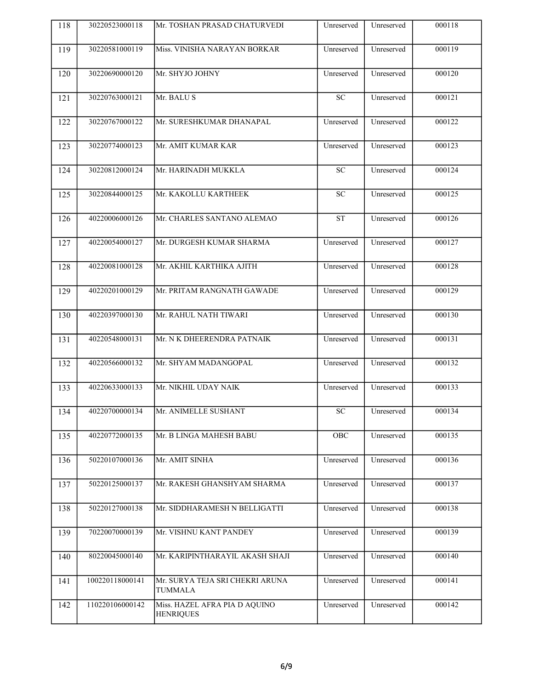| 118 | 30220523000118  | Mr. TOSHAN PRASAD CHATURVEDI                      | Unreserved             | Unreserved | 000118 |
|-----|-----------------|---------------------------------------------------|------------------------|------------|--------|
| 119 | 30220581000119  | Miss. VINISHA NARAYAN BORKAR                      | Unreserved             | Unreserved | 000119 |
| 120 | 30220690000120  | Mr. SHYJO JOHNY                                   | Unreserved             | Unreserved | 000120 |
| 121 | 30220763000121  | Mr. BALU S                                        | $\overline{SC}$        | Unreserved | 000121 |
| 122 | 30220767000122  | Mr. SURESHKUMAR DHANAPAL                          | Unreserved             | Unreserved | 000122 |
| 123 | 30220774000123  | Mr. AMIT KUMAR KAR                                | Unreserved             | Unreserved | 000123 |
| 124 | 30220812000124  | Mr. HARINADH MUKKLA                               | SC                     | Unreserved | 000124 |
| 125 | 30220844000125  | Mr. KAKOLLU KARTHEEK                              | ${\rm SC}$             | Unreserved | 000125 |
| 126 | 40220006000126  | Mr. CHARLES SANTANO ALEMAO                        | <b>ST</b>              | Unreserved | 000126 |
| 127 | 40220054000127  | Mr. DURGESH KUMAR SHARMA                          | Unreserved             | Unreserved | 000127 |
| 128 | 40220081000128  | Mr. AKHIL KARTHIKA AJITH                          | Unreserved             | Unreserved | 000128 |
| 129 | 40220201000129  | Mr. PRITAM RANGNATH GAWADE                        | Unreserved             | Unreserved | 000129 |
| 130 | 40220397000130  | Mr. RAHUL NATH TIWARI                             | Unreserved             | Unreserved | 000130 |
| 131 | 40220548000131  | Mr. N K DHEERENDRA PATNAIK                        | Unreserved             | Unreserved | 000131 |
| 132 | 40220566000132  | Mr. SHYAM MADANGOPAL                              | Unreserved             | Unreserved | 000132 |
| 133 | 40220633000133  | Mr. NIKHIL UDAY NAIK                              | Unreserved             | Unreserved | 000133 |
| 134 | 40220700000134  | Mr. ANIMELLE SUSHANT                              | $\overline{\text{SC}}$ | Unreserved | 000134 |
| 135 | 40220772000135  | Mr. B LINGA MAHESH BABU                           | ${\rm OBC}$            | Unreserved | 000135 |
| 136 | 50220107000136  | Mr. AMIT SINHA                                    | Unreserved             | Unreserved | 000136 |
| 137 | 50220125000137  | Mr. RAKESH GHANSHYAM SHARMA                       | Unreserved             | Unreserved | 000137 |
| 138 | 50220127000138  | Mr. SIDDHARAMESH N BELLIGATTI                     | Unreserved             | Unreserved | 000138 |
| 139 | 70220070000139  | Mr. VISHNU KANT PANDEY                            | Unreserved             | Unreserved | 000139 |
| 140 | 80220045000140  | Mr. KARIPINTHARAYIL AKASH SHAJI                   | Unreserved             | Unreserved | 000140 |
| 141 | 100220118000141 | Mr. SURYA TEJA SRI CHEKRI ARUNA<br><b>TUMMALA</b> | Unreserved             | Unreserved | 000141 |
| 142 | 110220106000142 | Miss. HAZEL AFRA PIA D AQUINO<br><b>HENRIQUES</b> | Unreserved             | Unreserved | 000142 |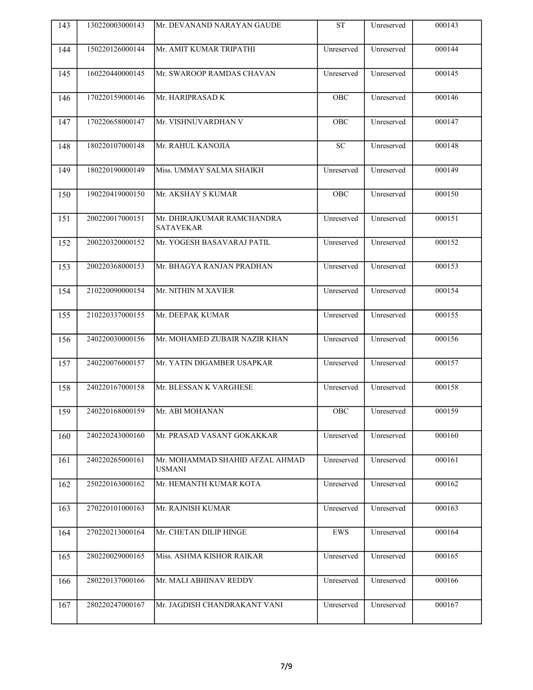| 143 | 130220003000143 | Mr. DEVANAND NARAYAN GAUDE                       | <b>ST</b>   | Unreserved | 000143 |
|-----|-----------------|--------------------------------------------------|-------------|------------|--------|
| 144 | 150220126000144 | Mr. AMIT KUMAR TRIPATHI                          | Unreserved  | Unreserved | 000144 |
| 145 | 160220440000145 | Mr. SWAROOP RAMDAS CHAVAN                        | Unreserved  | Unreserved | 000145 |
| 146 | 170220159000146 | Mr. HARIPRASAD K                                 | OBC         | Unreserved | 000146 |
| 147 | 170220658000147 | Mr. VISHNUVARDHAN V                              | OBC         | Unreserved | 000147 |
| 148 | 180220107000148 | Mr. RAHUL KANOJIA                                | ${\rm SC}$  | Unreserved | 000148 |
| 149 | 180220190000149 | Miss. UMMAY SALMA SHAIKH                         | Unreserved  | Unreserved | 000149 |
| 150 | 190220419000150 | Mr. AKSHAY S KUMAR                               | OBC         | Unreserved | 000150 |
| 151 | 200220017000151 | Mr. DHIRAJKUMAR RAMCHANDRA<br><b>SATAVEKAR</b>   | Unreserved  | Unreserved | 000151 |
| 152 | 200220320000152 | Mr. YOGESH BASAVARAJ PATIL                       | Unreserved  | Unreserved | 000152 |
| 153 | 200220368000153 | Mr. BHAGYA RANJAN PRADHAN                        | Unreserved  | Unreserved | 000153 |
| 154 | 210220090000154 | Mr. NITHIN M XAVIER                              | Unreserved  | Unreserved | 000154 |
| 155 | 210220337000155 | Mr. DEEPAK KUMAR                                 | Unreserved  | Unreserved | 000155 |
| 156 | 240220030000156 | Mr. MOHAMED ZUBAIR NAZIR KHAN                    | Unreserved  | Unreserved | 000156 |
| 157 | 240220076000157 | Mr. YATIN DIGAMBER USAPKAR                       | Unreserved  | Unreserved | 000157 |
| 158 | 240220167000158 | Mr. BLESSAN K VARGHESE                           | Unreserved  | Unreserved | 000158 |
| 159 |                 | 240220168000159   Mr. ABI MOHANAN                | OBC         | Unreserved | 000159 |
| 160 | 240220243000160 | Mr. PRASAD VASANT GOKAKKAR                       | Unreserved  | Unreserved | 000160 |
| 161 | 240220265000161 | Mr. MOHAMMAD SHAHID AFZAL AHMAD<br><b>USMANI</b> | Unreserved  | Unreserved | 000161 |
| 162 | 250220163000162 | Mr. HEMANTH KUMAR KOTA                           | Unreserved  | Unreserved | 000162 |
| 163 | 270220101000163 | Mr. RAJNISH KUMAR                                | Unreserved  | Unreserved | 000163 |
| 164 | 270220213000164 | Mr. CHETAN DILIP HINGE                           | ${\rm EWS}$ | Unreserved | 000164 |
| 165 | 280220029000165 | Miss. ASHMA KISHOR RAIKAR                        | Unreserved  | Unreserved | 000165 |
| 166 | 280220137000166 | Mr. MALI ABHINAV REDDY                           | Unreserved  | Unreserved | 000166 |
| 167 | 280220247000167 | Mr. JAGDISH CHANDRAKANT VANI                     | Unreserved  | Unreserved | 000167 |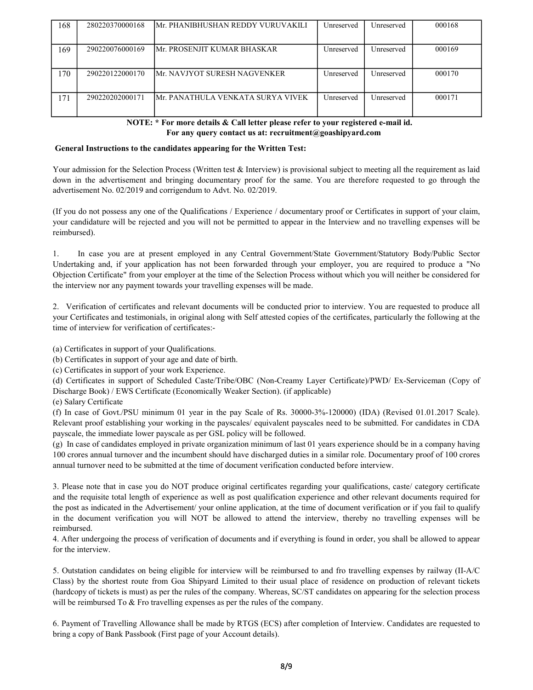| 168 | 280220370000168 | <b>Mr. PHANIBHUSHAN REDDY VURUVAKILI</b> | Unreserved               | Unreserved | 000168 |
|-----|-----------------|------------------------------------------|--------------------------|------------|--------|
| 169 | 290220076000169 | lmr. PROSENJIT KUMAR BHASKAR-            | Unreserved               | Unreserved | 000169 |
| .70 | 290220122000170 | <b>IMr. NAVJYOT SURESH NAGVENKER</b>     | <i><b>Unreserved</b></i> | Unreserved | 000170 |
| 71  | 290220202000171 | lmr. Panathula venkata surya vivek       | Unreserved               | Unreserved | 000171 |

 NOTE: \* For more details & Call letter please refer to your registered e-mail id. For any query contact us at: recruitment@goashipyard.com

## General Instructions to the candidates appearing for the Written Test:

Your admission for the Selection Process (Written test & Interview) is provisional subject to meeting all the requirement as laid down in the advertisement and bringing documentary proof for the same. You are therefore requested to go through the advertisement No. 02/2019 and corrigendum to Advt. No. 02/2019.

(If you do not possess any one of the Qualifications / Experience / documentary proof or Certificates in support of your claim, your candidature will be rejected and you will not be permitted to appear in the Interview and no travelling expenses will be reimbursed).

1. In case you are at present employed in any Central Government/State Government/Statutory Body/Public Sector Undertaking and, if your application has not been forwarded through your employer, you are required to produce a "No Objection Certificate" from your employer at the time of the Selection Process without which you will neither be considered for the interview nor any payment towards your travelling expenses will be made.

2. Verification of certificates and relevant documents will be conducted prior to interview. You are requested to produce all your Certificates and testimonials, in original along with Self attested copies of the certificates, particularly the following at the<br>time of interview for verification of certificates:-<br>(a) Certificates in support of you time of interview for verification of certificates:-

(b) Certificates in support of your age and date of birth.

(c) Certificates in support of your work Experience.

(d) Certificates in support of Scheduled Caste/Tribe/OBC (Non-Creamy Layer Certificate)/PWD/ Ex-Serviceman (Copy of Discharge Book) / EWS Certificate (Economically Weaker Section). (if applicable)

(e) Salary Certificate

(f) In case of Govt./PSU minimum 01 year in the pay Scale of Rs. 30000-3%-120000) (IDA) (Revised 01.01.2017 Scale). Relevant proof establishing your working in the payscales/ equivalent payscales need to be submitted. For candidates in CDA payscale, the immediate lower payscale as per GSL policy will be followed.

(g) In case of candidates employed in private organization minimum of last 01 years experience should be in a company having 100 crores annual turnover and the incumbent should have discharged duties in a similar role. Documentary proof of 100 crores annual turnover need to be submitted at the time of document verification conducted before interview.

3. Please note that in case you do NOT produce original certificates regarding your qualifications, caste/ category certificate and the requisite total length of experience as well as post qualification experience and other relevant documents required for the post as indicated in the Advertisement/ your online application, at the time of document verification or if you fail to qualify in the document verification you will NOT be allowed to attend the interview, thereby no travelling expenses will be reimbursed.

4. After undergoing the process of verification of documents and if everything is found in order, you shall be allowed to appear for the interview.

5. Outstation candidates on being eligible for interview will be reimbursed to and fro travelling expenses by railway (II-A/C Class) by the shortest route from Goa Shipyard Limited to their usual place of residence on production of relevant tickets (hardcopy of tickets is must) as per the rules of the company. Whereas, SC/ST candidates on appearing for the selection process will be reimbursed To & Fro travelling expenses as per the rules of the company.

6. Payment of Travelling Allowance shall be made by RTGS (ECS) after completion of Interview. Candidates are requested to bring a copy of Bank Passbook (First page of your Account details).